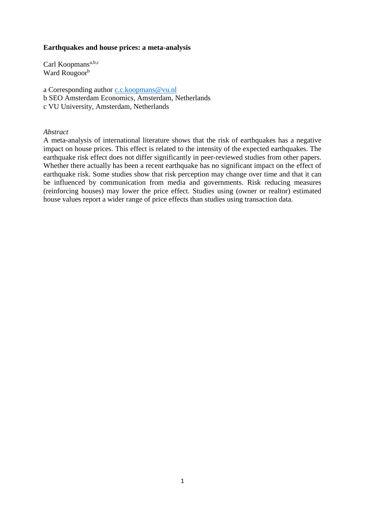## **Earthquakes and house prices: a meta-analysis**

Carl Koopmans<sup>a,b,c</sup> Ward Rougoor<sup>b</sup>

- a Corresponding author [c.c.koopmans@vu.nl](mailto:c.c.koopmans@vu.nl)
- b SEO Amsterdam Economics, Amsterdam, Netherlands
- c VU University, Amsterdam, Netherlands

#### *Abstract*

A meta-analysis of international literature shows that the risk of earthquakes has a negative impact on house prices. This effect is related to the intensity of the expected earthquakes. The earthquake risk effect does not differ significantly in peer-reviewed studies from other papers. Whether there actually has been a recent earthquake has no significant impact on the effect of earthquake risk. Some studies show that risk perception may change over time and that it can be influenced by communication from media and governments. Risk reducing measures (reinforcing houses) may lower the price effect. Studies using (owner or realtor) estimated house values report a wider range of price effects than studies using transaction data.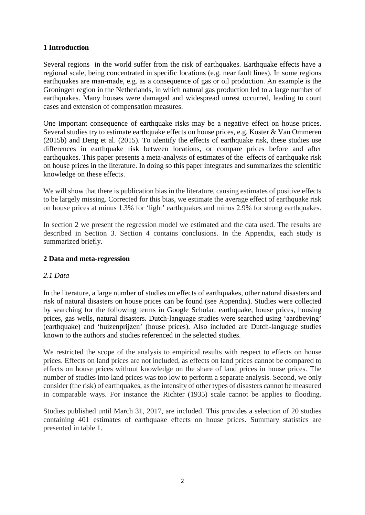# **1 Introduction**

Several regions in the world suffer from the risk of earthquakes. Earthquake effects have a regional scale, being concentrated in specific locations (e.g. near fault lines). In some regions earthquakes are man-made, e.g. as a consequence of gas or oil production. An example is the Groningen region in the Netherlands, in which natural gas production led to a large number of earthquakes. Many houses were damaged and widespread unrest occurred, leading to court cases and extension of compensation measures.

One important consequence of earthquake risks may be a negative effect on house prices. Several studies try to estimate earthquake effects on house prices, e.g. Koster & Van Ommeren (2015b) and Deng et al. (2015). To identify the effects of earthquake risk, these studies use differences in earthquake risk between locations, or compare prices before and after earthquakes. This paper presents a meta-analysis of estimates of the effects of earthquake risk on house prices in the literature. In doing so this paper integrates and summarizes the scientific knowledge on these effects.

We will show that there is publication bias in the literature, causing estimates of positive effects to be largely missing. Corrected for this bias, we estimate the average effect of earthquake risk on house prices at minus 1.3% for 'light' earthquakes and minus 2.9% for strong earthquakes.

In section 2 we present the regression model we estimated and the data used. The results are described in Section 3. Section 4 contains conclusions. In the Appendix, each study is summarized briefly.

## **2 Data and meta-regression**

## *2.1 Data*

In the literature, a large number of studies on effects of earthquakes, other natural disasters and risk of natural disasters on house prices can be found (see Appendix). Studies were collected by searching for the following terms in Google Scholar: earthquake, house prices, housing prices, gas wells, natural disasters. Dutch-language studies were searched using 'aardbeving' (earthquake) and 'huizenprijzen' (house prices). Also included are Dutch-language studies known to the authors and studies referenced in the selected studies.

We restricted the scope of the analysis to empirical results with respect to effects on house prices. Effects on land prices are not included, as effects on land prices cannot be compared to effects on house prices without knowledge on the share of land prices in house prices. The number of studies into land prices was too low to perform a separate analysis. Second, we only consider (the risk) of earthquakes, as the intensity of other types of disasters cannot be measured in comparable ways. For instance the Richter (1935) scale cannot be applies to flooding.

Studies published until March 31, 2017, are included. This provides a selection of 20 studies containing 401 estimates of earthquake effects on house prices. Summary statistics are presented in table 1.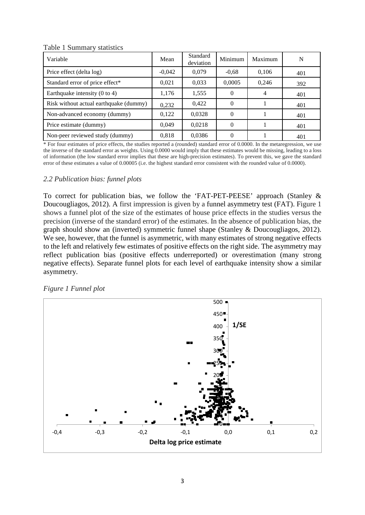| raone i Banninai y statistics            |          |                       |          |         |     |  |  |
|------------------------------------------|----------|-----------------------|----------|---------|-----|--|--|
| Variable                                 | Mean     | Standard<br>deviation | Minimum  | Maximum | N   |  |  |
| Price effect (delta log)                 | $-0,042$ | 0,079                 | $-0.68$  | 0,106   | 401 |  |  |
| Standard error of price effect*          | 0,021    | 0,033                 | 0,0005   | 0,246   | 392 |  |  |
| Earthquake intensity $(0 \text{ to } 4)$ | 1,176    | 1,555                 | $\theta$ | 4       | 401 |  |  |
| Risk without actual earthquake (dummy)   | 0,232    | 0,422                 | $\Omega$ |         | 401 |  |  |
| Non-advanced economy (dummy)             | 0,122    | 0,0328                | $\theta$ |         | 401 |  |  |
| Price estimate (dummy)                   | 0,049    | 0,0218                | $\Omega$ |         | 401 |  |  |
| Non-peer reviewed study (dummy)          | 0,818    | 0,0386                |          |         | 401 |  |  |

Table 1 Summary statistics

\* For four estimates of price effects, the studies reported a (rounded) standard error of 0.0000. In the metaregression, we use the inverse of the standard error as weights. Using 0.0000 would imply that these estimates would be missing, leading to a loss of information (the low standard error implies that these are high-precision estimates). To prevent this, we gave the standard error of these estimates a value of 0.00005 (i.e. the highest standard error consistent with the rounded value of 0.0000).

## *2.2 Publication bias: funnel plots*

To correct for publication bias, we follow the 'FAT-PET-PEESE' approach (Stanley & Doucougliagos, 2012). A first impression is given by a funnel asymmetry test (FAT). Figure 1 shows a funnel plot of the size of the estimates of house price effects in the studies versus the precision (inverse of the standard error) of the estimates. In the absence of publication bias, the graph should show an (inverted) symmetric funnel shape (Stanley & Doucougliagos, 2012). We see, however, that the funnel is asymmetric, with many estimates of strong negative effects to the left and relatively few estimates of positive effects on the right side. The asymmetry may reflect publication bias (positive effects underreported) or overestimation (many strong negative effects). Separate funnel plots for each level of earthquake intensity show a similar asymmetry.

## *Figure 1 Funnel plot*

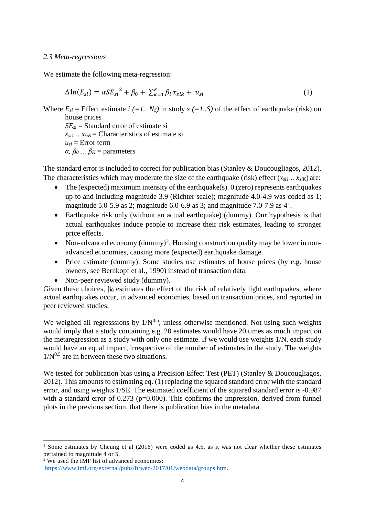#### *2.3 Meta-regressions*

We estimate the following meta-regression:

$$
\Delta \ln(E_{si}) = \alpha S E_{si}^{2} + \beta_{0} + \sum_{k=1}^{K} \beta_{i} x_{sik} + u_{si}
$$
 (1)

Where  $E_{si}$  = Effect estimate *i* (=1.. N<sub>S</sub>) in study  $s$  (=1..S) of the effect of earthquake (risk) on house prices

*SEsi* = Standard error of estimate si  $x_{si1}$  ..  $x_{siK}$  = Characteristics of estimate si  $u_{si}$  = Error term *α, β0 … β<sup>K</sup>* = parameters

The standard error is included to correct for publication bias (Stanley & Doucougliagos, 2012). The characteristics which may moderate the size of the earthquake (risk) effect  $(x_{sil} \dots x_{sil})$  are:

- The (expected) maximum intensity of the earthquake(s).  $0$  (zero) represents earthquakes up to and including magnitude 3.9 (Richter scale); magnitude 4.0-4.9 was coded as 1; magnitude 5.0-5.9 as 2; magnitude 6.0-6.9 as 3; and magnitude 7.0-7.9 as  $4^1$  $4^1$ .
- Earthquake risk only (without an actual earthquake) (dummy). Our hypothesis is that actual earthquakes induce people to increase their risk estimates, leading to stronger price effects.
- Non-advanced economy  $(dummy)^2$  $(dummy)^2$ . Housing construction quality may be lower in nonadvanced economies, causing more (expected) earthquake damage.
- Price estimate (dummy). Some studies use estimates of house prices (by e.g. house owners, see Bernkopf et al., 1990) instead of transaction data.
- Non-peer reviewed study (dummy).

Given these choices,  $\beta_0$  estimates the effect of the risk of relatively light earthquakes, where actual earthquakes occur, in advanced economies, based on transaction prices, and reported in peer reviewed studies.

We weighed all regresssions by  $1/N^{0.5}$ , unless otherwise mentioned. Not using such weights would imply that a study containing e.g. 20 estimates would have 20 times as much impact on the metaregression as a study with only one estimate. If we would use weights 1/N, each study would have an equal impact, irrespective of the number of estimates in the study. The weights  $1/N^{0.5}$  are in between these two situations.

We tested for publication bias using a Precision Effect Test (PET) (Stanley & Doucougliagos, 2012). This amounts to estimating eq. (1) replacing the squared standard error with the standard error, and using weights 1/SE. The estimated coefficient of the squared standard error is -0.987 with a standard error of  $0.273$  (p=0.000). This confirms the impression, derived from funnel plots in the previous section, that there is publication bias in the metadata.

 $\overline{a}$ 

<span id="page-3-0"></span>Some estimates by Cheung et al (2016) were coded as 4.5, as it was not clear whether these estimates pertained to magnitude 4 or 5.

<span id="page-3-1"></span> $\frac{1}{2}$  We used the IMF list of advanced economies: [https://www.imf.org/external/pubs/ft/weo/2017/01/weodata/groups.htm.](https://www.imf.org/external/pubs/ft/weo/2017/01/weodata/groups.htm)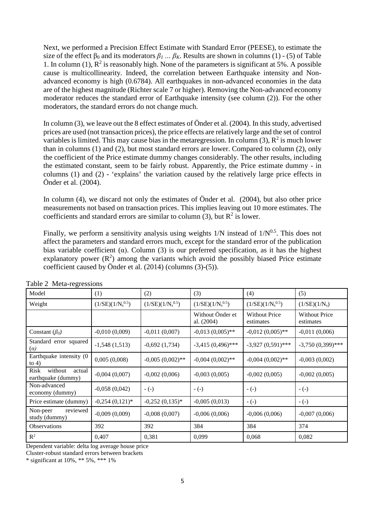Next, we performed a Precision Effect Estimate with Standard Error (PEESE), to estimate the size of the effect  $β_0$  and its moderators  $β_1$  ...  $β_K$ . Results are shown in columns (1) - (5) of Table 1. In column (1),  $\mathbb{R}^2$  is reasonably high. None of the parameters is significant at 5%. A possible cause is multicollinearity. Indeed, the correlation between Earthquake intensity and Nonadvanced economy is high (0.6784). All earthquakes in non-advanced economies in the data are of the highest magnitude (Richter scale 7 or higher). Removing the Non-advanced economy moderator reduces the standard error of Earthquake intensity (see column (2)). For the other moderators, the standard errors do not change much.

In column (3), we leave out the 8 effect estimates of Önder et al. (2004). In this study, advertised prices are used (not transaction prices), the price effects are relatively large and the set of control variables is limited. This may cause bias in the metaregression. In column (3),  $R^2$  is much lower than in columns (1) and (2), but most standard errors are lower. Compared to column (2), only the coefficient of the Price estimate dummy changes considerably. The other results, including the estimated constant, seem to be fairly robust. Apparently, the Price estimate dummy - in columns (1) and (2) - 'explains' the variation caused by the relatively large price effects in Önder et al. (2004).

In column (4), we discard not only the estimates of Önder et al. (2004), but also other price measurements not based on transaction prices. This implies leaving out 10 more estimates. The coefficients and standard errors are similar to column (3), but  $R^2$  is lower.

Finally, we perform a sensitivity analysis using weights  $1/N$  instead of  $1/N^{0.5}$ . This does not affect the parameters and standard errors much, except for the standard error of the publication bias variable coefficient ( $\alpha$ ). Column (3) is our preferred specification, as it has the highest explanatory power  $(R^2)$  among the variants which avoid the possibly biased Price estimate coefficient caused by Önder et al. (2014) (columns (3)-(5)).

| Model                                           | (1)                   | (2)                   | (3)                            | (4)                               | (5)                               |
|-------------------------------------------------|-----------------------|-----------------------|--------------------------------|-----------------------------------|-----------------------------------|
| Weight                                          | $(1/SE)(1/N_s^{0.5})$ | $(1/SE)(1/N_s^{0.5})$ | $(1/SE)(1/N_s^{0.5})$          | $(1/SE)(1/N_s^{0.5})$             | $(1/SE)(1/N_s)$                   |
|                                                 |                       |                       | Without Önder et<br>al. (2004) | <b>Without Price</b><br>estimates | <b>Without Price</b><br>estimates |
| Constant $(\beta_0)$                            | $-0,010(0,009)$       | $-0,011(0,007)$       | $-0.013(0.005)$ **             | $-0.012(0.005)$ **                | $-0,011(0,006)$                   |
| Standard error squared<br>$(\alpha)$            | $-1,548(1,513)$       | $-0,692(1,734)$       | $-3,415(0,496)$ ***            | $-3,927(0,591)$ ***               | $-3,750(0,399)$ ***               |
| Earthquake intensity (0<br>to $4)$              | 0,005(0,008)          | $-0,005(0,002)$ **    | $-0,004$ $(0,002)$ **          | $-0,004$ $(0,002)$ **             | $-0,003(0,002)$                   |
| without<br>Risk<br>actual<br>earthquake (dummy) | $-0,004(0,007)$       | $-0,002(0,006)$       | $-0,003(0,005)$                | $-0,002(0,005)$                   | $-0,002(0,005)$                   |
| Non-advanced<br>economy (dummy)                 | $-0,058(0,042)$       | $-(-)$                | $-(-)$                         | $-(-)$                            | $-(-)$                            |
| Price estimate (dummy)                          | $-0,254(0,121)*$      | $-0,252(0,135)*$      | $-0,005(0,013)$                | $-(-)$                            | $-(-)$                            |
| reviewed<br>Non-peer<br>study (dummy)           | $-0,009(0,009)$       | $-0,008(0,007)$       | $-0,006(0,006)$                | $-0,006(0,006)$                   | $-0,007(0,006)$                   |
| Observations                                    | 392                   | 392                   | 384                            | 384                               | 374                               |
| $R^2$                                           | 0,407                 | 0,381                 | 0,099                          | 0,068                             | 0,082                             |

Table 2 Meta-regressions

Dependent variable: delta log average house price

Cluster-robust standard errors between brackets

\* significant at 10%, \*\* 5%, \*\*\* 1%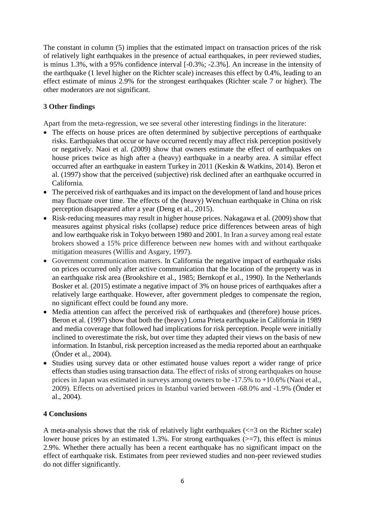The constant in column (5) implies that the estimated impact on transaction prices of the risk of relatively light earthquakes in the presence of actual earthquakes, in peer reviewed studies, is minus 1.3%, with a 95% confidence interval [-0.3%; -2.3%]. An increase in the intensity of the earthquake (1 level higher on the Richter scale) increases this effect by 0.4%, leading to an effect estimate of minus 2.9% for the strongest earthquakes (Richter scale 7 or higher). The other moderators are not significant.

# **3 Other findings**

Apart from the meta-regression, we see several other interesting findings in the literature:

- The effects on house prices are often determined by subjective perceptions of earthquake risks. Earthquakes that occur or have occurred recently may affect risk perception positively or negatively. Naoi et al. (2009) show that owners estimate the effect of earthquakes on house prices twice as high after a (heavy) earthquake in a nearby area. A similar effect occurred after an earthquake in eastern Turkey in 2011 (Keskin & Watkins, 2014). Beron et al. (1997) show that the perceived (subjective) risk declined after an earthquake occurred in California.
- The perceived risk of earthquakes and its impact on the development of land and house prices may fluctuate over time. The effects of the (heavy) Wenchuan earthquake in China on risk perception disappeared after a year (Deng et al., 2015).
- Risk-reducing measures may result in higher house prices. Nakagawa et al. (2009) show that measures against physical risks (collapse) reduce price differences between areas of high and low earthquake risk in Tokyo between 1980 and 2001. In Iran a survey among real estate brokers showed a 15% price difference between new homes with and without earthquake mitigation measures (Willis and Asgary, 1997).
- Government communication matters. In California the negative impact of earthquake risks on prices occurred only after active communication that the location of the property was in an earthquake risk area (Brookshire et al., 1985; Bernkopf et al., 1990). In the Netherlands Bosker et al. (2015) estimate a negative impact of 3% on house prices of earthquakes after a relatively large earthquake. However, after government pledges to compensate the region, no significant effect could be found any more.
- Media attention can affect the perceived risk of earthquakes and (therefore) house prices. Beron et al. (1997) show that both the (heavy) Loma Prieta earthquake in California in 1989 and media coverage that followed had implications for risk perception. People were initially inclined to overestimate the risk, but over time they adapted their views on the basis of new information. In Istanbul, risk perception increased as the media reported about an earthquake (Önder et al., 2004).
- Studies using survey data or other estimated house values report a wider range of price effects than studies using transaction data. The effect of risks of strong earthquakes on house prices in Japan was estimated in surveys among owners to be -17.5% to +10.6% (Naoi et al., 2009). Effects on advertised prices in Istanbul varied between -68.0% and -1.9% (Önder et al., 2004).

## **4 Conclusions**

A meta-analysis shows that the risk of relatively light earthquakes  $\langle \langle =3 \rangle$  on the Richter scale) lower house prices by an estimated 1.3%. For strong earthquakes ( $\ge$ =7), this effect is minus 2.9%. Whether there actually has been a recent earthquake has no significant impact on the effect of earthquake risk. Estimates from peer reviewed studies and non-peer reviewed studies do not differ significantly.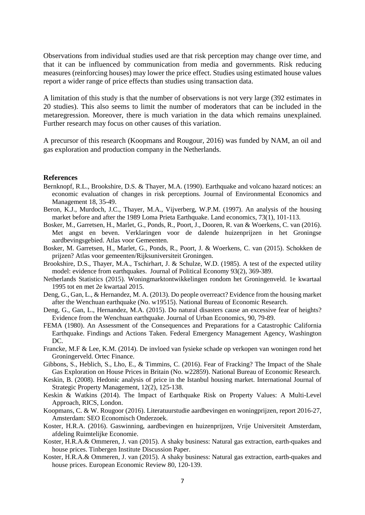Observations from individual studies used are that risk perception may change over time, and that it can be influenced by communication from media and governments. Risk reducing measures (reinforcing houses) may lower the price effect. Studies using estimated house values report a wider range of price effects than studies using transaction data.

A limitation of this study is that the number of observations is not very large (392 estimates in 20 studies). This also seems to limit the number of moderators that can be included in the metaregression. Moreover, there is much variation in the data which remains unexplained. Further research may focus on other causes of this variation.

A precursor of this research (Koopmans and Rougour, 2016) was funded by NAM, an oil and gas exploration and production company in the Netherlands.

#### **References**

- Bernknopf, R.L., Brookshire, D.S. & Thayer, M.A. (1990). Earthquake and volcano hazard notices: an economic evaluation of changes in risk perceptions. Journal of Environmental Economics and Management 18, 35-49.
- Beron, K.J., Murdoch, J.C., Thayer, M.A., Vijverberg, W.P.M. (1997). An analysis of the housing market before and after the 1989 Loma Prieta Earthquake. Land economics, 73(1), 101-113.
- Bosker, M., Garretsen, H., Marlet, G., Ponds, R., Poort, J., Dooren, R. van & Woerkens, C. van (2016). Met angst en beven. Verklaringen voor de dalende huizenprijzen in het Groningse aardbevingsgebied. Atlas voor Gemeenten.
- Bosker, M. Garretsen, H., Marlet, G., Ponds, R., Poort, J. & Woerkens, C. van (2015). Schokken de prijzen? Atlas voor gemeenten/Rijksuniversiteit Groningen.
- Brookshire, D.S., Thayer, M.A., Tschirhart, J. & Schulze, W.D. (1985). A test of the expected utility model: evidence from earthquakes. Journal of Political Economy 93(2), 369-389.
- Netherlands Statistics (2015). Woningmarktontwikkelingen rondom het Groningenveld. 1e kwartaal 1995 tot en met 2e kwartaal 2015.
- Deng, G., Gan, L., & Hernandez, M. A. (2013). Do people overreact? Evidence from the housing market after the Wenchuan earthquake (No. w19515). National Bureau of Economic Research.
- Deng, G., Gan, L., Hernandez, M.A. (2015). Do natural disasters cause an excessive fear of heights? Evidence from the Wenchuan earthquake. Journal of Urban Economics, 90, 79-89.
- FEMA (1980). An Assessment of the Consequences and Preparations for a Catastrophic California Earthquake. Findings and Actions Taken. Federal Emergency Management Agency, Washington DC.
- Francke, M.F & Lee, K.M. (2014). De invloed van fysieke schade op verkopen van woningen rond het Groningerveld. Ortec Finance.
- Gibbons, S., Heblich, S., Lho, E., & Timmins, C. (2016). Fear of Fracking? The Impact of the Shale Gas Exploration on House Prices in Britain (No. w22859). National Bureau of Economic Research.
- Keskin, B. (2008). Hedonic analysis of price in the Istanbul housing market. International Journal of Strategic Property Management, 12(2), 125-138.
- Keskin & Watkins (2014). The Impact of Earthquake Risk on Property Values: A Multi-Level Approach, RICS, London.
- Koopmans, C. & W. Rougoor (2016). Literatuurstudie aardbevingen en woningprijzen, report 2016-27, Amsterdam: SEO Economisch Onderzoek.
- Koster, H.R.A. (2016). Gaswinning, aardbevingen en huizenprijzen, Vrije Universiteit Amsterdam, afdeling Ruimtelijke Economie.
- Koster, H.R.A.& Ommeren, J. van (2015). A shaky business: Natural gas extraction, earth-quakes and house prices. Tinbergen Institute Discussion Paper.
- Koster, H.R.A.& Ommeren, J. van (2015). A shaky business: Natural gas extraction, earth-quakes and house prices. European Economic Review 80, 120-139.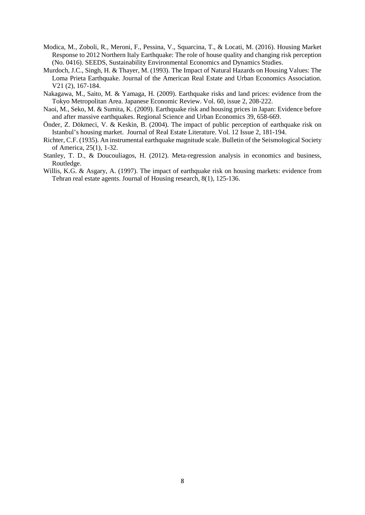- Modica, M., Zoboli, R., Meroni, F., Pessina, V., Squarcina, T., & Locati, M. (2016). Housing Market Response to 2012 Northern Italy Earthquake: The role of house quality and changing risk perception (No. 0416). SEEDS, Sustainability Environmental Economics and Dynamics Studies.
- Murdoch, J.C., Singh, H. & Thayer, M. (1993). The Impact of Natural Hazards on Housing Values: The Loma Prieta Earthquake. Journal of the American Real Estate and Urban Economics Association. V21 (2), 167-184.
- Nakagawa, M., Saito, M. & Yamaga, H. (2009). Earthquake risks and land prices: evidence from the Tokyo Metropolitan Area. Japanese Economic Review. Vol. 60, issue 2, 208-222.
- Naoi, M., Seko, M. & Sumita, K. (2009). Earthquake risk and housing prices in Japan: Evidence before and after massive earthquakes. Regional Science and Urban Economics 39, 658-669.
- Önder, Z. Dökmeci, V. & Keskin, B. (2004). The impact of public perception of earthquake risk on Istanbul's housing market. Journal of Real Estate Literature. Vol. 12 Issue 2, 181-194.
- Richter, C.F. (1935). An instrumental earthquake magnitude scale. Bulletin of the Seismological Society of America, 25(1), 1-32.
- Stanley, T. D., & Doucouliagos, H. (2012). Meta-regression analysis in economics and business, Routledge.
- Willis, K.G. & Asgary, A. (1997). The impact of earthquake risk on housing markets: evidence from Tehran real estate agents. Journal of Housing research, 8(1), 125-136.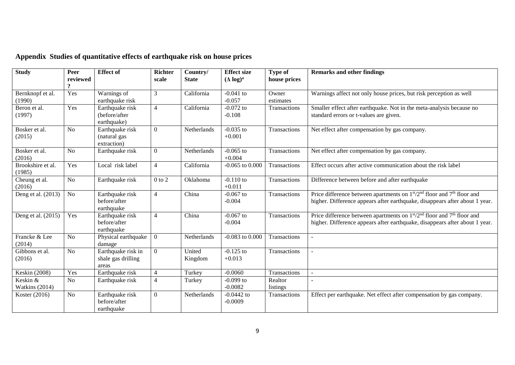| <b>Study</b>                | Peer<br>reviewed<br>$\Omega$ | <b>Effect of</b>                                  | <b>Richter</b><br>scale | Country/<br><b>State</b> | <b>Effect size</b><br>$(\Delta \log)^a$ | Type of<br>house prices | <b>Remarks and other findings</b>                                                                                                                                                          |
|-----------------------------|------------------------------|---------------------------------------------------|-------------------------|--------------------------|-----------------------------------------|-------------------------|--------------------------------------------------------------------------------------------------------------------------------------------------------------------------------------------|
| Bernknopf et al.<br>(1990)  | Yes                          | Warnings of<br>earthquake risk                    | 3                       | California               | $-0.041$ to<br>$-0.057$                 | Owner<br>estimates      | Warnings affect not only house prices, but risk perception as well                                                                                                                         |
| Beron et al.<br>(1997)      | Yes                          | Earthquake risk<br>(before/after<br>earthquake)   | $\overline{4}$          | California               | $-0.072$ to<br>$-0.108$                 | Transactions            | Smaller effect after earthquake. Not in the meta-analysis because no<br>standard errors or t-values are given.                                                                             |
| Bosker et al.<br>(2015)     | N <sub>o</sub>               | Earthquake risk<br>(natural gas<br>extraction)    | $\overline{0}$          | Netherlands              | $-0.035$ to<br>$+0.001$                 | Transactions            | Net effect after compensation by gas company.                                                                                                                                              |
| Bosker et al.<br>(2016)     | No                           | Earthquake risk                                   | $\theta$                | Netherlands              | $-0.065$ to<br>$+0.004$                 | Transactions            | Net effect after compensation by gas company.                                                                                                                                              |
| Brookshire et al.<br>(1985) | Yes                          | Local risk label                                  | $\overline{4}$          | California               | $-0.065$ to $0.000$                     | Transactions            | Effect occurs after active communication about the risk label                                                                                                                              |
| Cheung et al.<br>(2016)     | No                           | Earthquake risk                                   | $0$ to $2\,$            | Oklahoma                 | $-0.110$ to<br>$+0.011$                 | Transactions            | Difference between before and after earthquake                                                                                                                                             |
| Deng et al. (2013)          | N <sub>o</sub>               | Earthquake risk<br>before/after<br>earthquake     | $\overline{4}$          | China                    | $-0.067$ to<br>$-0.004$                 | Transactions            | Price difference between apartments on $1st/2nd$ floor and $7th$ floor and<br>higher. Difference appears after earthquake, disappears after about 1 year.                                  |
| Deng et al. (2015)          | Yes                          | Earthquake risk<br>before/after<br>earthquake     | $\overline{4}$          | China                    | $-0.067$ to<br>$-0.004$                 | Transactions            | Price difference between apartments on 1 <sup>st</sup> /2 <sup>nd</sup> floor and 7 <sup>th</sup> floor and<br>higher. Difference appears after earthquake, disappears after about 1 year. |
| Francke & Lee<br>(2014)     | N <sub>o</sub>               | Physical earthquake<br>damage                     | $\overline{0}$          | Netherlands              | $-0.083$ to $0.000$                     | Transactions            |                                                                                                                                                                                            |
| Gibbons et al.<br>(2016)    | No                           | Earthquake risk in<br>shale gas drilling<br>areas | $\overline{0}$          | United<br>Kingdom        | $-0.125$ to<br>$+0.013$                 | Transactions            | ÷.                                                                                                                                                                                         |
| <b>Keskin</b> (2008)        | Yes                          | Earthquake risk                                   | $\overline{4}$          | Turkey                   | $-0.0060$                               | Transactions            | $\overline{\phantom{a}}$                                                                                                                                                                   |
| Keskin &<br>Watkins (2014)  | <b>No</b>                    | Earthquake risk                                   | $\overline{4}$          | Turkey                   | $-0.099$ to<br>$-0.0082$                | Realtor<br>listings     |                                                                                                                                                                                            |
| Koster (2016)               | N <sub>o</sub>               | Earthquake risk<br>before/after<br>earthquake     | $\overline{0}$          | Netherlands              | $-0.0442$ to<br>$-0.0009$               | Transactions            | Effect per earthquake. Net effect after compensation by gas company.                                                                                                                       |

# **Appendix Studies of quantitative effects of earthquake risk on house prices**